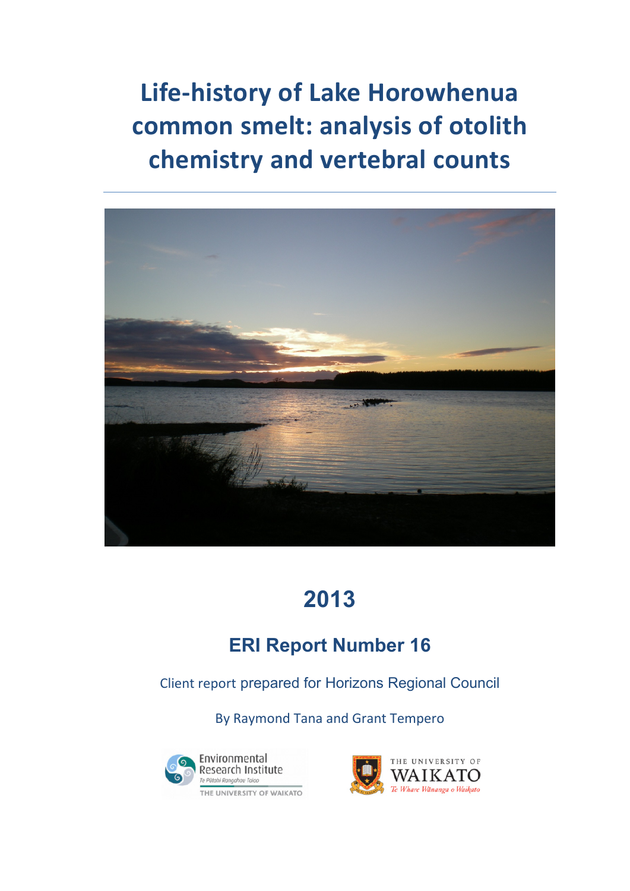**Life‐history of Lake Horowhenua common smelt: analysis of otolith chemistry and vertebral counts**



# **2013**

## **ERI Report Number 16**

Client report prepared for Horizons Regional Council

By Raymond Tana and Grant Tempero



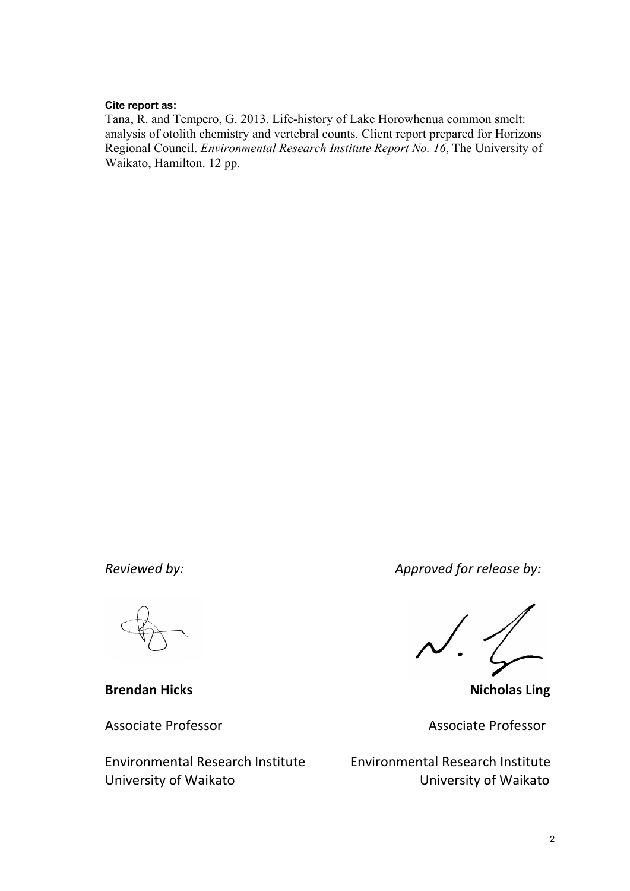#### **Cite report as:**

Tana, R. and Tempero, G. 2013. Life-history of Lake Horowhenua common smelt: analysis of otolith chemistry and vertebral counts. Client report prepared for Horizons Regional Council. *Environmental Research Institute Report No. 16*, The University of Waikato, Hamilton. 12 pp.

**Brendan Hicks Nicholas Ling**

University of Waikato University of Waikato

*Reviewed by: Approved for release by:*

Associate Professor Associate Professor

Environmental Research Institute Environmental Research Institute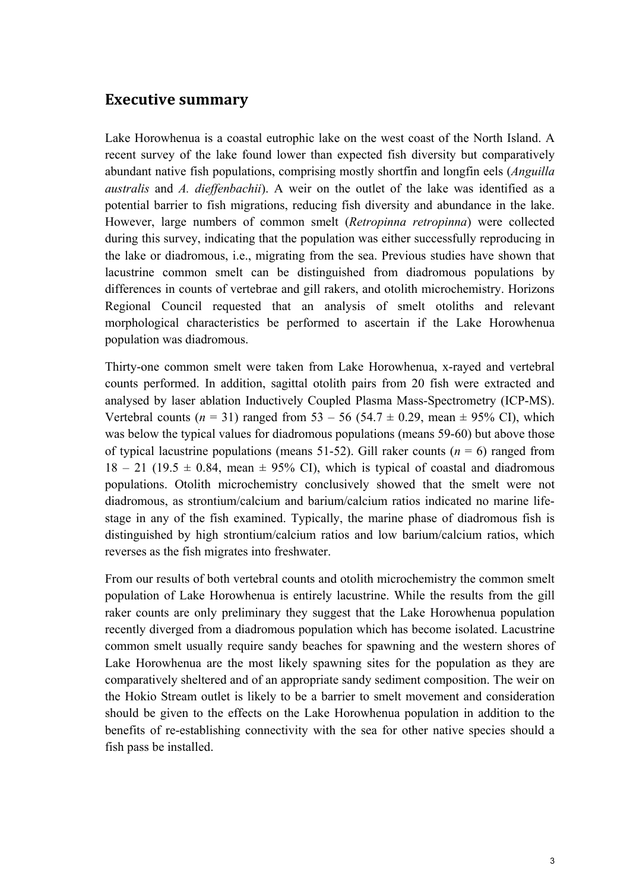#### **Executive summary**

Lake Horowhenua is a coastal eutrophic lake on the west coast of the North Island. A recent survey of the lake found lower than expected fish diversity but comparatively abundant native fish populations, comprising mostly shortfin and longfin eels (*Anguilla australis* and *A. dieffenbachii*). A weir on the outlet of the lake was identified as a potential barrier to fish migrations, reducing fish diversity and abundance in the lake. However, large numbers of common smelt (*Retropinna retropinna*) were collected during this survey, indicating that the population was either successfully reproducing in the lake or diadromous, i.e., migrating from the sea. Previous studies have shown that lacustrine common smelt can be distinguished from diadromous populations by differences in counts of vertebrae and gill rakers, and otolith microchemistry. Horizons Regional Council requested that an analysis of smelt otoliths and relevant morphological characteristics be performed to ascertain if the Lake Horowhenua population was diadromous.

Thirty-one common smelt were taken from Lake Horowhenua, x-rayed and vertebral counts performed. In addition, sagittal otolith pairs from 20 fish were extracted and analysed by laser ablation Inductively Coupled Plasma Mass-Spectrometry (ICP-MS). Vertebral counts ( $n = 31$ ) ranged from 53 – 56 (54.7  $\pm$  0.29, mean  $\pm$  95% CI), which was below the typical values for diadromous populations (means 59-60) but above those of typical lacustrine populations (means 51-52). Gill raker counts  $(n = 6)$  ranged from  $18 - 21$  (19.5  $\pm$  0.84, mean  $\pm$  95% CI), which is typical of coastal and diadromous populations. Otolith microchemistry conclusively showed that the smelt were not diadromous, as strontium/calcium and barium/calcium ratios indicated no marine lifestage in any of the fish examined. Typically, the marine phase of diadromous fish is distinguished by high strontium/calcium ratios and low barium/calcium ratios, which reverses as the fish migrates into freshwater.

From our results of both vertebral counts and otolith microchemistry the common smelt population of Lake Horowhenua is entirely lacustrine. While the results from the gill raker counts are only preliminary they suggest that the Lake Horowhenua population recently diverged from a diadromous population which has become isolated. Lacustrine common smelt usually require sandy beaches for spawning and the western shores of Lake Horowhenua are the most likely spawning sites for the population as they are comparatively sheltered and of an appropriate sandy sediment composition. The weir on the Hokio Stream outlet is likely to be a barrier to smelt movement and consideration should be given to the effects on the Lake Horowhenua population in addition to the benefits of re-establishing connectivity with the sea for other native species should a fish pass be installed.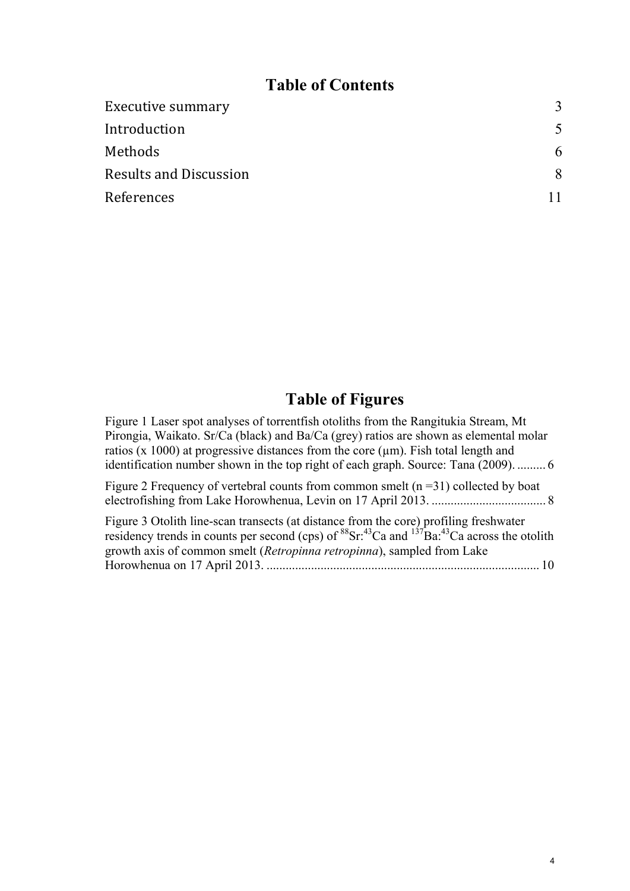## **Table of Contents**

| <b>Executive summary</b>      | 3 |
|-------------------------------|---|
| Introduction                  |   |
| Methods                       | 6 |
| <b>Results and Discussion</b> | 8 |
| References                    |   |

## **Table of Figures**

Figure 1 Laser spot analyses of torrentfish otoliths from the Rangitukia Stream, Mt Pirongia, Waikato. Sr/Ca (black) and Ba/Ca (grey) ratios are shown as elemental molar ratios (x 1000) at progressive distances from the core  $(\mu m)$ . Fish total length and identification number shown in the top right of each graph. Source: Tana (2009). ......... 6

Figure 2 Frequency of vertebral counts from common smelt  $(n=31)$  collected by boat electrofishing from Lake Horowhenua, Levin on 17 April 2013. .................................... 8

Figure 3 Otolith line-scan transects (at distance from the core) profiling freshwater residency trends in counts per second (cps) of  ${}^{88}Sr;^{43}Ca$  and  ${}^{137}Ba;^{43}Ca$  across the otolith growth axis of common smelt (*Retropinna retropinna*), sampled from Lake Horowhenua on 17 April 2013. ...................................................................................... 10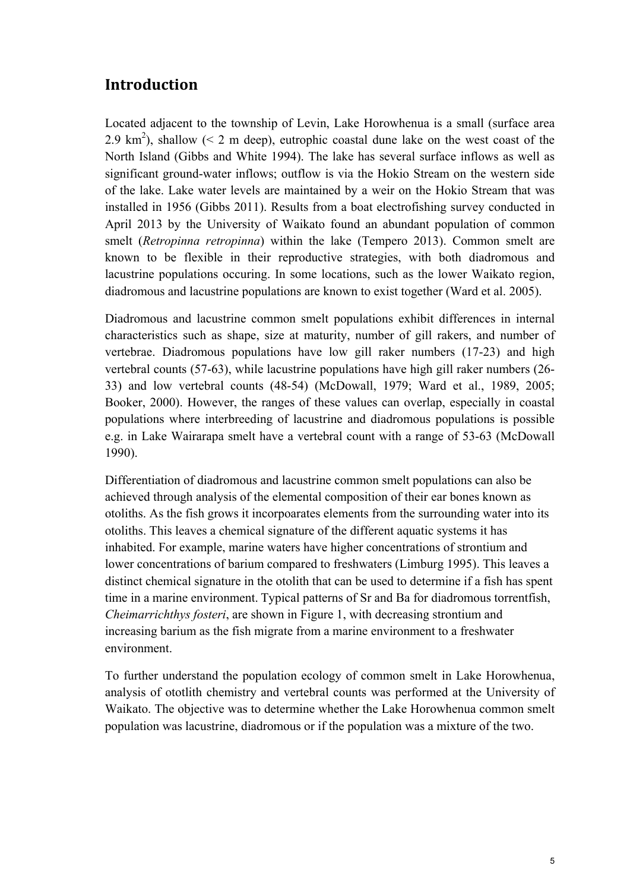### **Introduction**

Located adjacent to the township of Levin, Lake Horowhenua is a small (surface area 2.9 km<sup>2</sup>), shallow ( $\leq$  2 m deep), eutrophic coastal dune lake on the west coast of the North Island (Gibbs and White 1994). The lake has several surface inflows as well as significant ground-water inflows; outflow is via the Hokio Stream on the western side of the lake. Lake water levels are maintained by a weir on the Hokio Stream that was installed in 1956 (Gibbs 2011). Results from a boat electrofishing survey conducted in April 2013 by the University of Waikato found an abundant population of common smelt (*Retropinna retropinna*) within the lake (Tempero 2013). Common smelt are known to be flexible in their reproductive strategies, with both diadromous and lacustrine populations occuring. In some locations, such as the lower Waikato region, diadromous and lacustrine populations are known to exist together (Ward et al. 2005).

Diadromous and lacustrine common smelt populations exhibit differences in internal characteristics such as shape, size at maturity, number of gill rakers, and number of vertebrae. Diadromous populations have low gill raker numbers (17-23) and high vertebral counts (57-63), while lacustrine populations have high gill raker numbers (26- 33) and low vertebral counts (48-54) (McDowall, 1979; Ward et al., 1989, 2005; Booker, 2000). However, the ranges of these values can overlap, especially in coastal populations where interbreeding of lacustrine and diadromous populations is possible e.g. in Lake Wairarapa smelt have a vertebral count with a range of 53-63 (McDowall 1990).

Differentiation of diadromous and lacustrine common smelt populations can also be achieved through analysis of the elemental composition of their ear bones known as otoliths. As the fish grows it incorpoarates elements from the surrounding water into its otoliths. This leaves a chemical signature of the different aquatic systems it has inhabited. For example, marine waters have higher concentrations of strontium and lower concentrations of barium compared to freshwaters (Limburg 1995). This leaves a distinct chemical signature in the otolith that can be used to determine if a fish has spent time in a marine environment. Typical patterns of Sr and Ba for diadromous torrentfish, *Cheimarrichthys fosteri*, are shown in Figure 1, with decreasing strontium and increasing barium as the fish migrate from a marine environment to a freshwater environment.

To further understand the population ecology of common smelt in Lake Horowhenua, analysis of ototlith chemistry and vertebral counts was performed at the University of Waikato. The objective was to determine whether the Lake Horowhenua common smelt population was lacustrine, diadromous or if the population was a mixture of the two.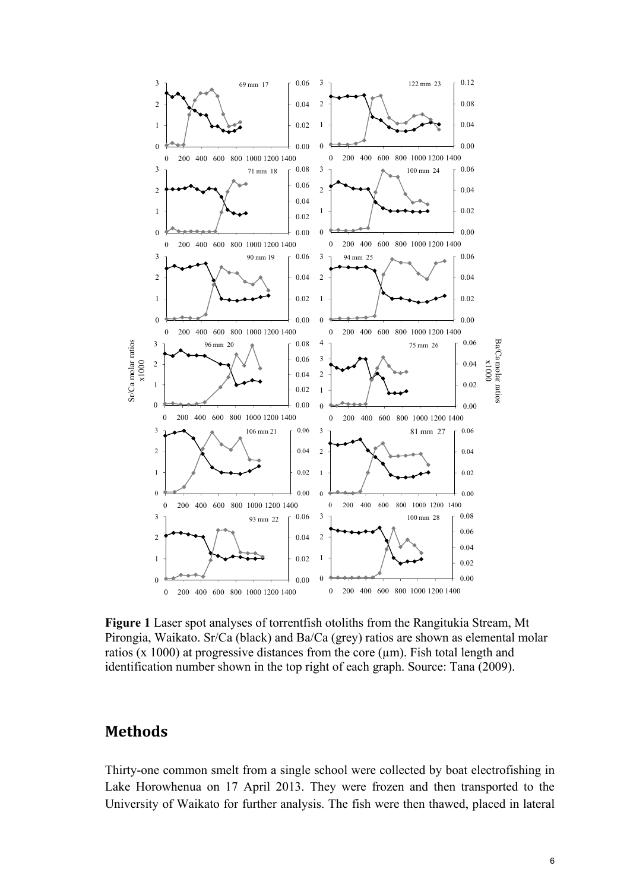

**Figure 1** Laser spot analyses of torrentfish otoliths from the Rangitukia Stream, Mt Pirongia, Waikato. Sr/Ca (black) and Ba/Ca (grey) ratios are shown as elemental molar ratios ( $x$  1000) at progressive distances from the core ( $\mu$ m). Fish total length and identification number shown in the top right of each graph. Source: Tana (2009).

#### **Methods**

Thirty-one common smelt from a single school were collected by boat electrofishing in Lake Horowhenua on 17 April 2013. They were frozen and then transported to the University of Waikato for further analysis. The fish were then thawed, placed in lateral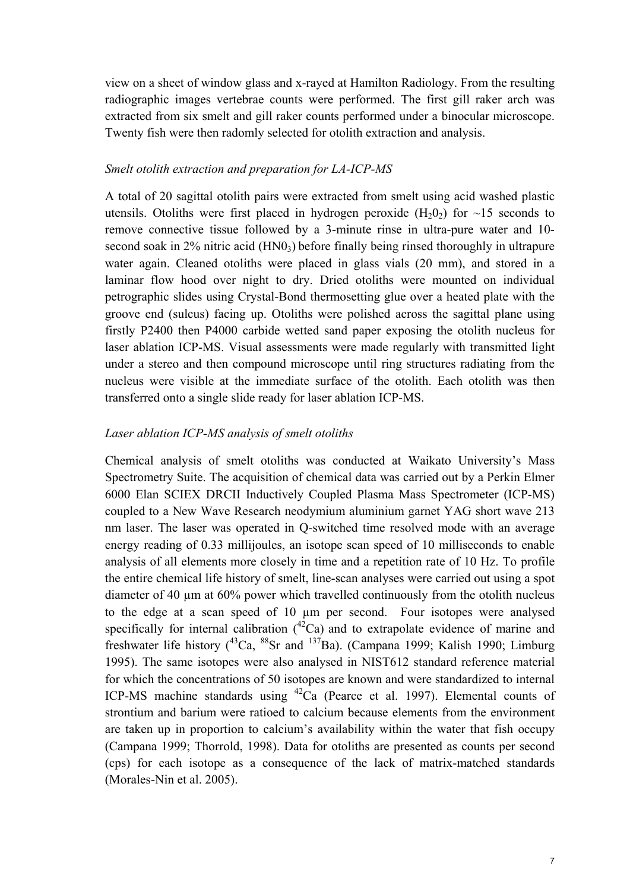view on a sheet of window glass and x-rayed at Hamilton Radiology. From the resulting radiographic images vertebrae counts were performed. The first gill raker arch was extracted from six smelt and gill raker counts performed under a binocular microscope. Twenty fish were then radomly selected for otolith extraction and analysis.

#### *Smelt otolith extraction and preparation for LA-ICP-MS*

A total of 20 sagittal otolith pairs were extracted from smelt using acid washed plastic utensils. Otoliths were first placed in hydrogen peroxide  $(H_2O_2)$  for  $\sim$ 15 seconds to remove connective tissue followed by a 3-minute rinse in ultra-pure water and 10 second soak in 2% nitric acid (HN0<sub>3</sub>) before finally being rinsed thoroughly in ultrapure water again. Cleaned otoliths were placed in glass vials (20 mm), and stored in a laminar flow hood over night to dry. Dried otoliths were mounted on individual petrographic slides using Crystal-Bond thermosetting glue over a heated plate with the groove end (sulcus) facing up. Otoliths were polished across the sagittal plane using firstly P2400 then P4000 carbide wetted sand paper exposing the otolith nucleus for laser ablation ICP-MS. Visual assessments were made regularly with transmitted light under a stereo and then compound microscope until ring structures radiating from the nucleus were visible at the immediate surface of the otolith. Each otolith was then transferred onto a single slide ready for laser ablation ICP-MS.

#### *Laser ablation ICP-MS analysis of smelt otoliths*

Chemical analysis of smelt otoliths was conducted at Waikato University's Mass Spectrometry Suite. The acquisition of chemical data was carried out by a Perkin Elmer 6000 Elan SCIEX DRCII Inductively Coupled Plasma Mass Spectrometer (ICP-MS) coupled to a New Wave Research neodymium aluminium garnet YAG short wave 213 nm laser. The laser was operated in Q-switched time resolved mode with an average energy reading of 0.33 millijoules, an isotope scan speed of 10 milliseconds to enable analysis of all elements more closely in time and a repetition rate of 10 Hz. To profile the entire chemical life history of smelt, line-scan analyses were carried out using a spot diameter of 40 µm at 60% power which travelled continuously from the otolith nucleus to the edge at a scan speed of 10 µm per second. Four isotopes were analysed specifically for internal calibration  $(^{42}Ca)$  and to extrapolate evidence of marine and freshwater life history  $(^{43}Ca, ^{88}Sr$  and  $^{137}Ba$ ). (Campana 1999; Kalish 1990; Limburg 1995). The same isotopes were also analysed in NIST612 standard reference material for which the concentrations of 50 isotopes are known and were standardized to internal ICP-MS machine standards using 42Ca (Pearce et al. 1997). Elemental counts of strontium and barium were ratioed to calcium because elements from the environment are taken up in proportion to calcium's availability within the water that fish occupy (Campana 1999; Thorrold, 1998). Data for otoliths are presented as counts per second (cps) for each isotope as a consequence of the lack of matrix-matched standards (Morales-Nin et al. 2005).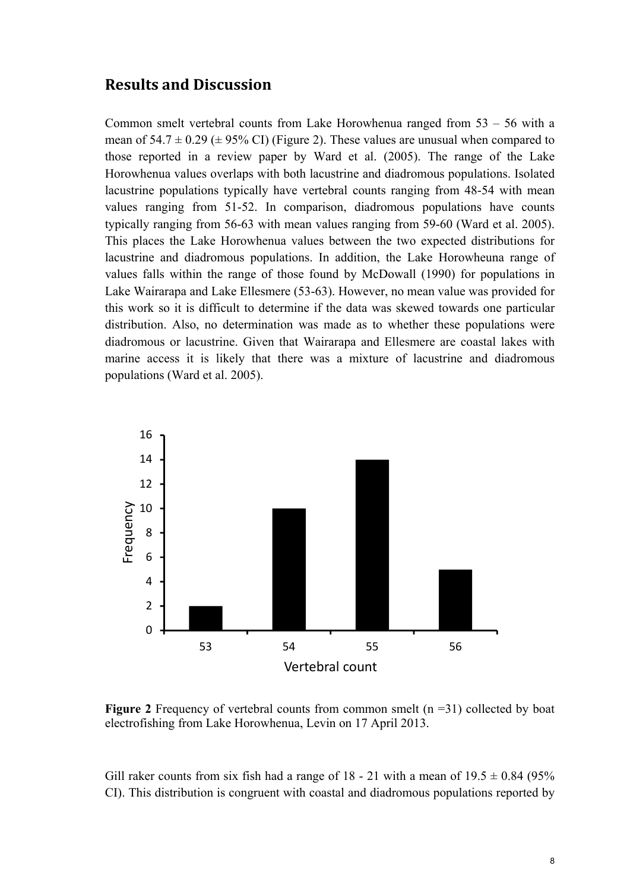#### **Results and Discussion**

Common smelt vertebral counts from Lake Horowhenua ranged from 53 – 56 with a mean of  $54.7 \pm 0.29 \ (\pm 95\% \ \text{CI})$  (Figure 2). These values are unusual when compared to those reported in a review paper by Ward et al. (2005). The range of the Lake Horowhenua values overlaps with both lacustrine and diadromous populations. Isolated lacustrine populations typically have vertebral counts ranging from 48-54 with mean values ranging from 51-52. In comparison, diadromous populations have counts typically ranging from 56-63 with mean values ranging from 59-60 (Ward et al. 2005). This places the Lake Horowhenua values between the two expected distributions for lacustrine and diadromous populations. In addition, the Lake Horowheuna range of values falls within the range of those found by McDowall (1990) for populations in Lake Wairarapa and Lake Ellesmere (53-63). However, no mean value was provided for this work so it is difficult to determine if the data was skewed towards one particular distribution. Also, no determination was made as to whether these populations were diadromous or lacustrine. Given that Wairarapa and Ellesmere are coastal lakes with marine access it is likely that there was a mixture of lacustrine and diadromous populations (Ward et al. 2005).



**Figure 2** Frequency of vertebral counts from common smelt (n =31) collected by boat electrofishing from Lake Horowhenua, Levin on 17 April 2013.

Gill raker counts from six fish had a range of 18 - 21 with a mean of  $19.5 \pm 0.84$  (95%) CI). This distribution is congruent with coastal and diadromous populations reported by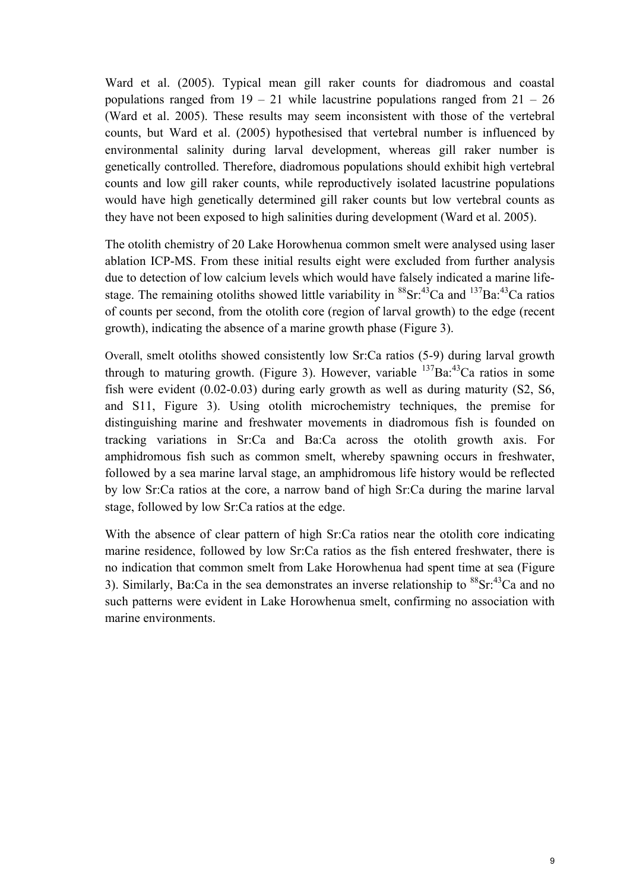Ward et al. (2005). Typical mean gill raker counts for diadromous and coastal populations ranged from  $19 - 21$  while lacustrine populations ranged from  $21 - 26$ (Ward et al. 2005). These results may seem inconsistent with those of the vertebral counts, but Ward et al. (2005) hypothesised that vertebral number is influenced by environmental salinity during larval development, whereas gill raker number is genetically controlled. Therefore, diadromous populations should exhibit high vertebral counts and low gill raker counts, while reproductively isolated lacustrine populations would have high genetically determined gill raker counts but low vertebral counts as they have not been exposed to high salinities during development (Ward et al. 2005).

The otolith chemistry of 20 Lake Horowhenua common smelt were analysed using laser ablation ICP-MS. From these initial results eight were excluded from further analysis due to detection of low calcium levels which would have falsely indicated a marine lifestage. The remaining otoliths showed little variability in  ${}^{88}Sr.{}^{43}Ca$  and  ${}^{137}Ba.{}^{43}Ca$  ratios of counts per second, from the otolith core (region of larval growth) to the edge (recent growth), indicating the absence of a marine growth phase (Figure 3).

Overall, smelt otoliths showed consistently low Sr:Ca ratios (5-9) during larval growth through to maturing growth. (Figure 3). However, variable  $^{137}Ba.^{43}Ca$  ratios in some fish were evident (0.02-0.03) during early growth as well as during maturity (S2, S6, and S11, Figure 3). Using otolith microchemistry techniques, the premise for distinguishing marine and freshwater movements in diadromous fish is founded on tracking variations in Sr:Ca and Ba:Ca across the otolith growth axis. For amphidromous fish such as common smelt, whereby spawning occurs in freshwater, followed by a sea marine larval stage, an amphidromous life history would be reflected by low Sr:Ca ratios at the core, a narrow band of high Sr:Ca during the marine larval stage, followed by low Sr:Ca ratios at the edge.

With the absence of clear pattern of high Sr:Ca ratios near the otolith core indicating marine residence, followed by low Sr:Ca ratios as the fish entered freshwater, there is no indication that common smelt from Lake Horowhenua had spent time at sea (Figure 3). Similarly, Ba:Ca in the sea demonstrates an inverse relationship to  ${}^{88}Sr.{}^{43}Ca$  and no such patterns were evident in Lake Horowhenua smelt, confirming no association with marine environments.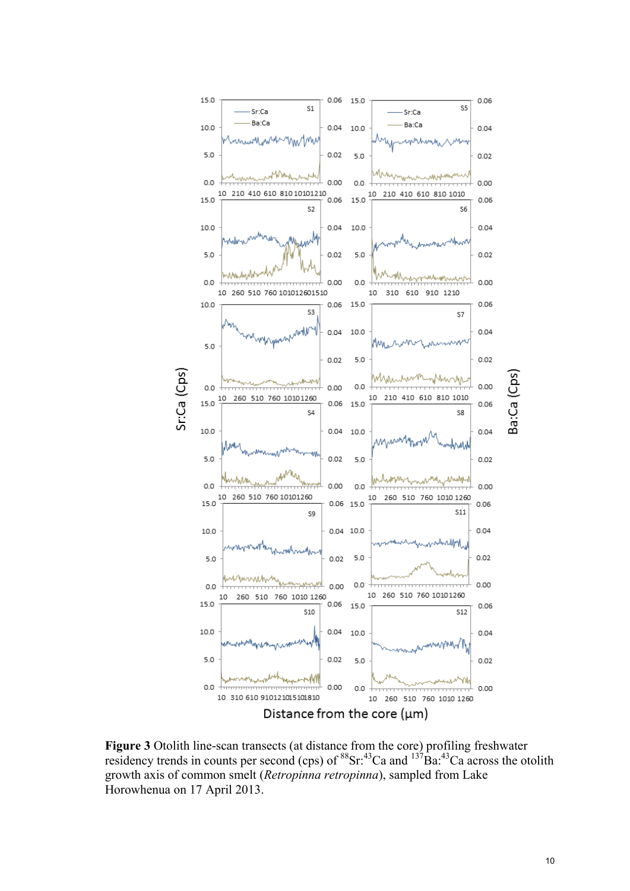

**Figure 3** Otolith line-scan transects (at distance from the core) profiling freshwater residency trends in counts per second (cps) of  ${}^{88}Sr.^{43}Ca$  and  ${}^{137}Ba.^{43}Ca$  across the otolith growth axis of common smelt (*Retropinna retropinna*), sampled from Lake Horowhenua on 17 April 2013.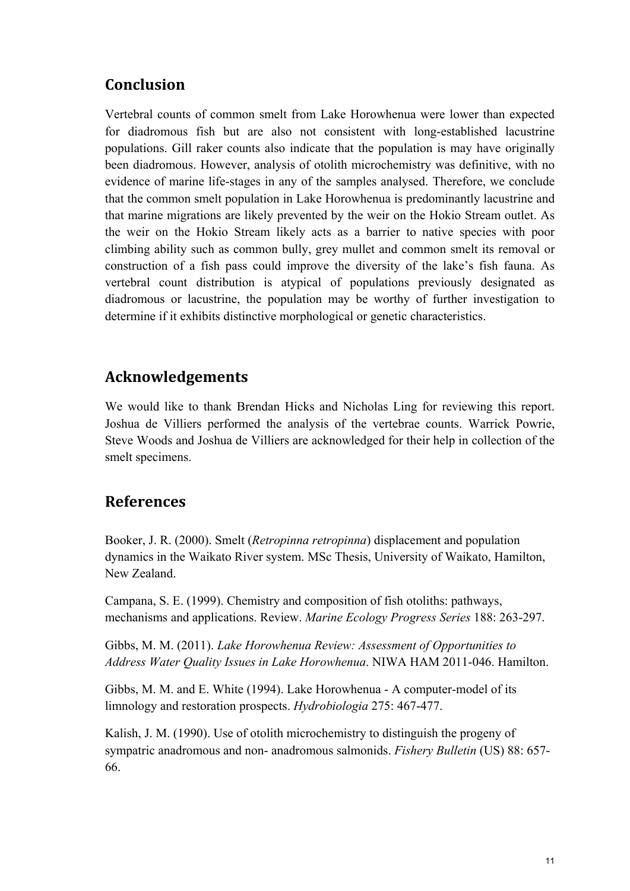## **Conclusion**

Vertebral counts of common smelt from Lake Horowhenua were lower than expected for diadromous fish but are also not consistent with long-established lacustrine populations. Gill raker counts also indicate that the population is may have originally been diadromous. However, analysis of otolith microchemistry was definitive, with no evidence of marine life-stages in any of the samples analysed. Therefore, we conclude that the common smelt population in Lake Horowhenua is predominantly lacustrine and that marine migrations are likely prevented by the weir on the Hokio Stream outlet. As the weir on the Hokio Stream likely acts as a barrier to native species with poor climbing ability such as common bully, grey mullet and common smelt its removal or construction of a fish pass could improve the diversity of the lake's fish fauna. As vertebral count distribution is atypical of populations previously designated as diadromous or lacustrine, the population may be worthy of further investigation to determine if it exhibits distinctive morphological or genetic characteristics.

## **Acknowledgements**

We would like to thank Brendan Hicks and Nicholas Ling for reviewing this report. Joshua de Villiers performed the analysis of the vertebrae counts. Warrick Powrie, Steve Woods and Joshua de Villiers are acknowledged for their help in collection of the smelt specimens.

## **References**

Booker, J. R. (2000). Smelt (*Retropinna retropinna*) displacement and population dynamics in the Waikato River system. MSc Thesis, University of Waikato, Hamilton, New Zealand.

Campana, S. E. (1999). Chemistry and composition of fish otoliths: pathways, mechanisms and applications. Review. *Marine Ecology Progress Series* 188: 263-297.

Gibbs, M. M. (2011). *Lake Horowhenua Review: Assessment of Opportunities to Address Water Quality Issues in Lake Horowhenua*. NIWA HAM 2011-046. Hamilton.

Gibbs, M. M. and E. White (1994). Lake Horowhenua - A computer-model of its limnology and restoration prospects. *Hydrobiologia* 275: 467-477.

Kalish, J. M. (1990). Use of otolith microchemistry to distinguish the progeny of sympatric anadromous and non- anadromous salmonids. *Fishery Bulletin* (US) 88: 657- 66.